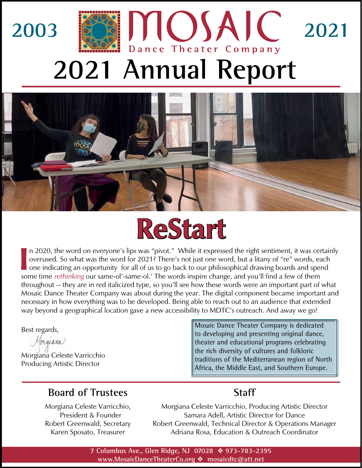





II n 2020, the word on everyone's lips was "pivot." While it expressed the right sentiment, it was cer<br>overused. So what was the word for 2021? There's not just one word, but a litany of "re" words, ea<br>one indicating an op n 2020, the word on everyone's lips was "pivot." While it expressed the right sentiment, it was certainly overused. So what was the word for 2021? There's not just one word, but a litany of "re" words, each one indicating an opportunity for all of us to go back to our philosophical drawing boards and spend throughout -- they are in red italicized type, so you'll see how these words were an important part of what Mosaic Dance Theater Company was about during the year. The digital component became important and necessary in how everything was to be developed. Being able to reach out to an audience that extended way beyond a geographical location gave a new accessibility to MDTC's outreach. And away we go!

Best regards,

Mrgiana

Morgiana Celeste Varricchio Producing Artistic Director

Mosaic Dance Theater Company is dedicated to developing and presenting original dance, theater and educational programs celebrating the rich diversity of cultures and folkloric traditions of the Mediterranean region of North Africa, the Middle East, and Southern Europe.

#### **Board of Trustees**

Morgiana Celeste Varricchio, President & Founder Robert Greenwald, Secretary Karen Sposato, Treasurer

#### **Staff**

Morgiana Celeste Varricchio, Producing Artistic Director Samara Adell, Artistic Director for Dance Robert Greenwald, Technical Director & Operations Manager Adriana Rosa, Education & Outreach Coordinator

**7 Columbus Ave., Glen Ridge, NJ 07028** ❖ **973-783-2395 www.MosaicDanceTheaterCo.org** ❖ **mosaicdtc@att.net**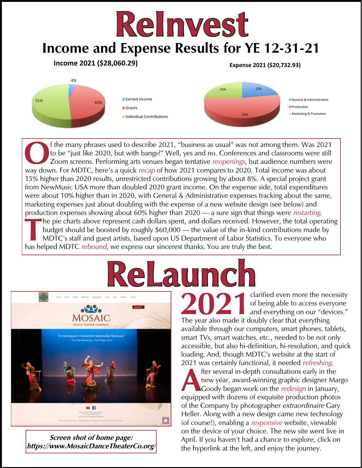### **Income and Expense Results for YE 12-31-21 ReInvest** Income 2021 (\$28,060.29) Expense 2021 (\$20,732.93)



The many phrases used to describe 2021, "business as usual" was not among them. Was 2021<br>to be "just like 2020, but with bangs?" Well, yes and no. Conferences and classrooms were still<br>Zoom screens. Performing arts venues to be "just like 2020, but with bangs?" Well, yes and no. Conferences and classrooms were still Zoom screens. Performing arts venues began tentative *reopenings*, but audience numbers were way down. For MDTC, here's a quick recap of how 2021 compares to 2020. Total income was about 15% higher than 2020 results, unrestricted contributions growing by about 8%. A special project grant from NewMusic USA more than doubled 2020 grant income. On the expense side, total expenditures were about 10% higher than in 2020, with General & Administrative expenses tracking about the same, marketing expenses just about doubling with the expense of a new website design (see below) and production expenses showing about 60% higher than 2020 — a sure sign that things were restarting. **T**he pie charts above represent cash dollars spent, and dollars received. However, the total operating budget should be boosted by roughly \$60,000 — the value of the in-kind contributions made by MDTC's staff and guest artists, based upon US Department of Labor Statistics. To everyone who has helped MDTC *rebound*, we express our sincerest thanks. You are truly the best.

# **RLAUMCH**<br>Charified even more the necessity



**Screen shot of home page: <https://www.MosaicDanceTheaterCo.org/>** 2021 clarified even more the necessity<br>of being able to access everyone<br>and everything on our "devices." of being able to access everyone and everything on our "devices." The year also made it doubly clear that everything available through our computers, smart phones, tablets, smart TVs, smart watches, etc., needed to be not only accessible, but also hi-definition, hi-resolution, and quick loading. And, though MDTC's website at the start of 2021 was certainly functional, it needed refreshing.

fter several in-depth consultations early in the<br>new year, award-winning graphic designer Ma<br>Goody began work on the *redesign* in January<br>equipped with dozens of exquisite production photo new year, award-winning graphic designer Margo Goody began work on the *redesign* in January, equipped with dozens of exquisite production photos of the Company by photographer extraordinaire Gary Heller. Along with a new design came new technology (of course!), enabling a responsive website, viewable on the device of your choice. The new site went live in April. If you haven't had a chance to explore, click on the hyperlink at the left, and enjoy the journey.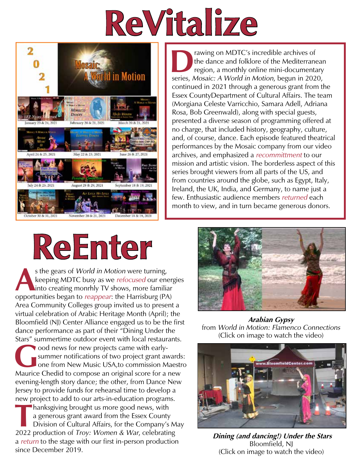## **ReVitalize**



The dance and folklore of the Mediterrane<br>region, a monthly online mini-documental<br>series Mosaic: A World in Motion begun in 202 the dance and folklore of the Mediterranean region, a monthly online mini-documentary series, Mosaic: A World in Motion, begun in 2020, continued in 2021 through a generous grant from the Essex CountyDepartment of Cultural Affairs. The team (Morgiana Celeste Varricchio, Samara Adell, Adriana Rosa, Bob Greenwald), along with special guests, presented a diverse season of programming offered at no charge, that included history, geography, culture, and, of course, dance. Each episode featured theatrical performances by the Mosaic company from our video archives, and emphasized a recommittment to our mission and artistic vision. The borderless aspect of this series brought viewers from all parts of the US, and from countries around the globe, such as Egypt, Italy, Ireland, the UK, India, and Germany, to name just a few. Enthusiastic audience members returned each month to view, and in turn became generous donors.

### **ReEnter**

s the gears of *World in Motion* were turning,<br>keeping MDTC busy as we *refocused* our ene<br>into creating monrhly TV shows, more familia<br>opportunities began to *reappear*: the Harrisburg (PA keeping MDTC busy as we *refocused* our energies into creating monrhly TV shows, more familiar opportunities began to reappear: the Harrisburg (PA) Area Community Colleges group invited us to present a virtual celebration of Arabic Heritage Month (April); the Bloomfield (NJ) Center Alliance engaged us to be the first dance performance as part of their "Dining Under the Stars" summertime outdoor event with local restaurants.

**Good news for new projects came with early-<br>summer notifications of two project grant av<br>one from New Music USA, to commission M<br>Maurice Chedid to compose an original score for a** summer notifications of two project grant awards: one from New Music USA,to commission Maestro Maurice Chedid to compose an original score for a new evening-length story dance; the other, from Dance New Jersey to provide funds for rehearsal time to develop a new project to add to our arts-in-education programs.

**T**hanksgiving brought us more good news, with a generous grant award from the Essex County Division of Cultural Affairs, for the Company's May 2022 production of Troy: Women & War, celebrating a return to the stage with our first in-person production since December 2019.



**Arabian Gypsy** from World in Motion: Flamenco Connections (Click on image to watch the video)



 **Dining (and dancing!) Under the Stars** Bloomfield, NJ (Click on image to watch the video)